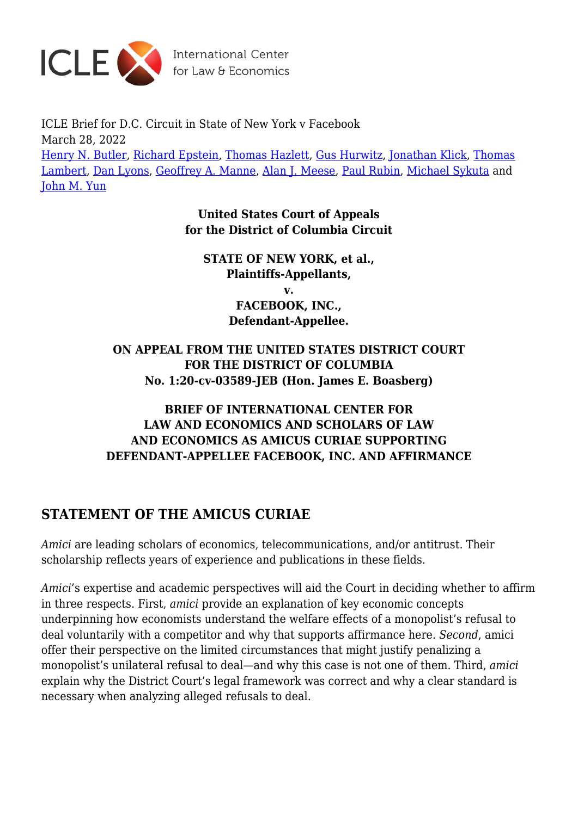

International Center<br>for Law & Economics

ICLE Brief for D.C. Circuit in State of New York v Facebook March 28, 2022 [Henry N. Butler,](https://laweconcenter.org/author/hbutler/) [Richard Epstein](https://laweconcenter.org/author/richardepstein/), [Thomas Hazlett,](https://laweconcenter.org/author/thomashazlett/) [Gus Hurwitz](https://laweconcenter.org/author/gushurwitz/), [Jonathan Klick,](https://laweconcenter.org/author/jonathanklick/) [Thomas](https://laweconcenter.org/author/thomaslambert/) [Lambert](https://laweconcenter.org/author/thomaslambert/), [Dan Lyons,](https://laweconcenter.org/author/danlyons/) [Geoffrey A. Manne,](https://laweconcenter.org/author/geoffrey-manne/) [Alan J. Meese,](https://laweconcenter.org/author/ameese/) [Paul Rubin](https://laweconcenter.org/author/paulrubin/), [Michael Sykuta](https://laweconcenter.org/author/michaelsykuta/) and [John M. Yun](https://laweconcenter.org/author/johnyun/)

> **United States Court of Appeals for the District of Columbia Circuit**

**STATE OF NEW YORK, et al., Plaintiffs-Appellants, v. FACEBOOK, INC., Defendant-Appellee.**

**ON APPEAL FROM THE UNITED STATES DISTRICT COURT FOR THE DISTRICT OF COLUMBIA No. 1:20-cv-03589-JEB (Hon. James E. Boasberg)**

## **BRIEF OF INTERNATIONAL CENTER FOR LAW AND ECONOMICS AND SCHOLARS OF LAW AND ECONOMICS AS AMICUS CURIAE SUPPORTING DEFENDANT-APPELLEE FACEBOOK, INC. AND AFFIRMANCE**

## **STATEMENT OF THE AMICUS CURIAE**

*Amici* are leading scholars of economics, telecommunications, and/or antitrust. Their scholarship reflects years of experience and publications in these fields.

*Amici*'s expertise and academic perspectives will aid the Court in deciding whether to affirm in three respects. First, *amici* provide an explanation of key economic concepts underpinning how economists understand the welfare effects of a monopolist's refusal to deal voluntarily with a competitor and why that supports affirmance here. *Second*, amici offer their perspective on the limited circumstances that might justify penalizing a monopolist's unilateral refusal to deal—and why this case is not one of them. Third, *amici* explain why the District Court's legal framework was correct and why a clear standard is necessary when analyzing alleged refusals to deal.